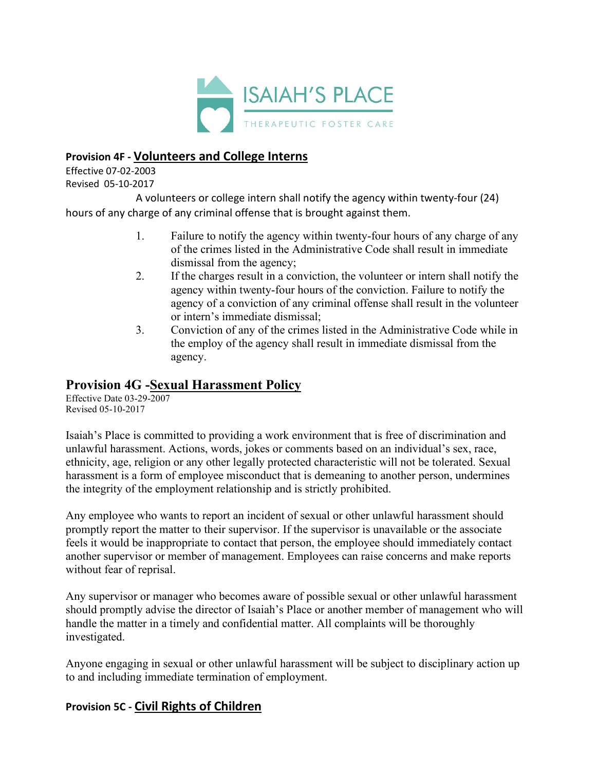

## **Provision 4F - Volunteers and College Interns**

Effective 07-02-2003 Revised 05-10-2017

A volunteers or college intern shall notify the agency within twenty-four (24) hours of any charge of any criminal offense that is brought against them.

- 1. Failure to notify the agency within twenty-four hours of any charge of any of the crimes listed in the Administrative Code shall result in immediate dismissal from the agency;
- 2. If the charges result in a conviction, the volunteer or intern shall notify the agency within twenty-four hours of the conviction. Failure to notify the agency of a conviction of any criminal offense shall result in the volunteer or intern's immediate dismissal;
- 3. Conviction of any of the crimes listed in the Administrative Code while in the employ of the agency shall result in immediate dismissal from the agency.

## **Provision 4G -Sexual Harassment Policy**

Effective Date 03-29-2007 Revised 05-10-2017

Isaiah's Place is committed to providing a work environment that is free of discrimination and unlawful harassment. Actions, words, jokes or comments based on an individual's sex, race, ethnicity, age, religion or any other legally protected characteristic will not be tolerated. Sexual harassment is a form of employee misconduct that is demeaning to another person, undermines the integrity of the employment relationship and is strictly prohibited.

Any employee who wants to report an incident of sexual or other unlawful harassment should promptly report the matter to their supervisor. If the supervisor is unavailable or the associate feels it would be inappropriate to contact that person, the employee should immediately contact another supervisor or member of management. Employees can raise concerns and make reports without fear of reprisal.

Any supervisor or manager who becomes aware of possible sexual or other unlawful harassment should promptly advise the director of Isaiah's Place or another member of management who will handle the matter in a timely and confidential matter. All complaints will be thoroughly investigated.

Anyone engaging in sexual or other unlawful harassment will be subject to disciplinary action up to and including immediate termination of employment.

## **Provision 5C - Civil Rights of Children**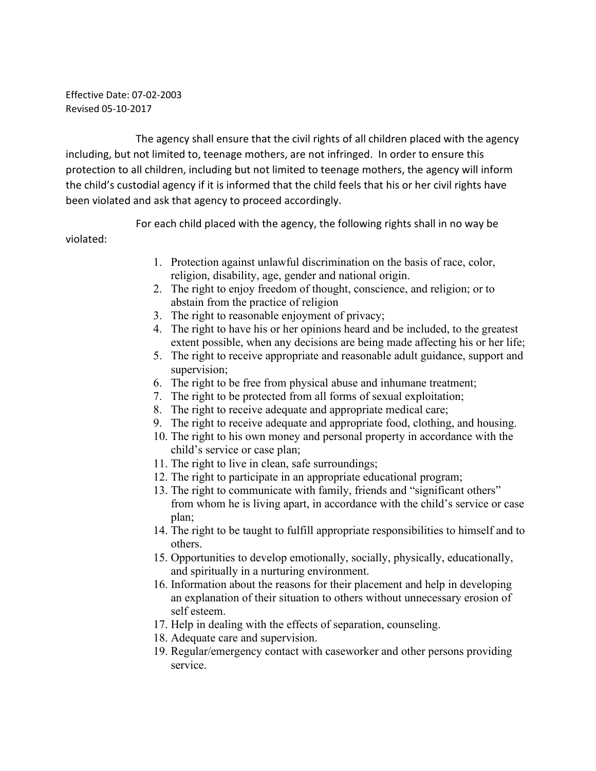Effective Date: 07-02-2003 Revised 05-10-2017

The agency shall ensure that the civil rights of all children placed with the agency including, but not limited to, teenage mothers, are not infringed. In order to ensure this protection to all children, including but not limited to teenage mothers, the agency will inform the child's custodial agency if it is informed that the child feels that his or her civil rights have been violated and ask that agency to proceed accordingly.

For each child placed with the agency, the following rights shall in no way be violated:

- 1. Protection against unlawful discrimination on the basis of race, color, religion, disability, age, gender and national origin.
- 2. The right to enjoy freedom of thought, conscience, and religion; or to abstain from the practice of religion
- 3. The right to reasonable enjoyment of privacy;
- 4. The right to have his or her opinions heard and be included, to the greatest extent possible, when any decisions are being made affecting his or her life;
- 5. The right to receive appropriate and reasonable adult guidance, support and supervision;
- 6. The right to be free from physical abuse and inhumane treatment;
- 7. The right to be protected from all forms of sexual exploitation;
- 8. The right to receive adequate and appropriate medical care;
- 9. The right to receive adequate and appropriate food, clothing, and housing.
- 10. The right to his own money and personal property in accordance with the child's service or case plan;
- 11. The right to live in clean, safe surroundings;
- 12. The right to participate in an appropriate educational program;
- 13. The right to communicate with family, friends and "significant others" from whom he is living apart, in accordance with the child's service or case plan;
- 14. The right to be taught to fulfill appropriate responsibilities to himself and to others.
- 15. Opportunities to develop emotionally, socially, physically, educationally, and spiritually in a nurturing environment.
- 16. Information about the reasons for their placement and help in developing an explanation of their situation to others without unnecessary erosion of self esteem.
- 17. Help in dealing with the effects of separation, counseling.
- 18. Adequate care and supervision.
- 19. Regular/emergency contact with caseworker and other persons providing service.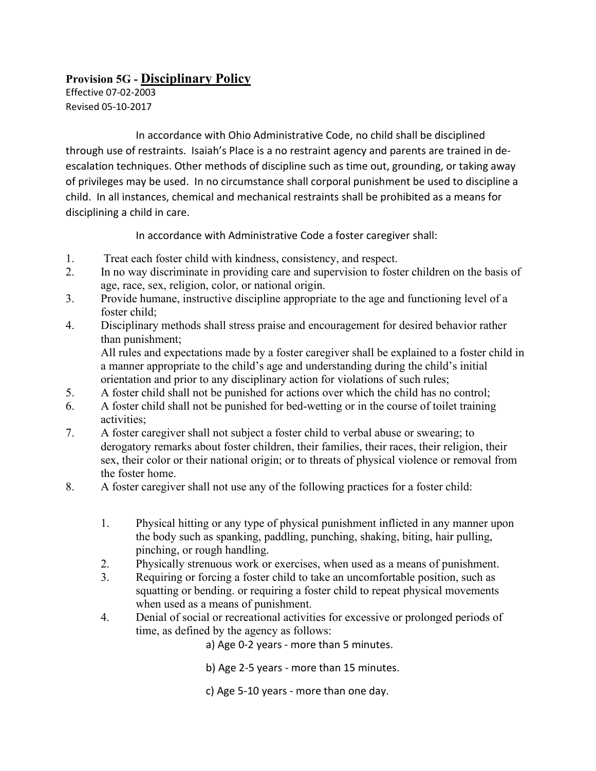## **Provision 5G - Disciplinary Policy**

Effective 07-02-2003 Revised 05-10-2017

In accordance with Ohio Administrative Code, no child shall be disciplined through use of restraints. Isaiah's Place is a no restraint agency and parents are trained in deescalation techniques. Other methods of discipline such as time out, grounding, or taking away of privileges may be used. In no circumstance shall corporal punishment be used to discipline a child. In all instances, chemical and mechanical restraints shall be prohibited as a means for disciplining a child in care.

In accordance with Administrative Code a foster caregiver shall:

- 1. Treat each foster child with kindness, consistency, and respect.
- 2. In no way discriminate in providing care and supervision to foster children on the basis of age, race, sex, religion, color, or national origin.
- 3. Provide humane, instructive discipline appropriate to the age and functioning level of a foster child;
- 4. Disciplinary methods shall stress praise and encouragement for desired behavior rather than punishment;

All rules and expectations made by a foster caregiver shall be explained to a foster child in a manner appropriate to the child's age and understanding during the child's initial orientation and prior to any disciplinary action for violations of such rules;

- 5. A foster child shall not be punished for actions over which the child has no control;
- 6. A foster child shall not be punished for bed-wetting or in the course of toilet training activities;
- 7. A foster caregiver shall not subject a foster child to verbal abuse or swearing; to derogatory remarks about foster children, their families, their races, their religion, their sex, their color or their national origin; or to threats of physical violence or removal from the foster home.
- 8. A foster caregiver shall not use any of the following practices for a foster child:
	- 1. Physical hitting or any type of physical punishment inflicted in any manner upon the body such as spanking, paddling, punching, shaking, biting, hair pulling, pinching, or rough handling.
	- 2. Physically strenuous work or exercises, when used as a means of punishment.
	- 3. Requiring or forcing a foster child to take an uncomfortable position, such as squatting or bending. or requiring a foster child to repeat physical movements when used as a means of punishment.
	- 4. Denial of social or recreational activities for excessive or prolonged periods of time, as defined by the agency as follows:

a) Age 0-2 years - more than 5 minutes.

b) Age 2-5 years - more than 15 minutes.

c) Age 5-10 years - more than one day.